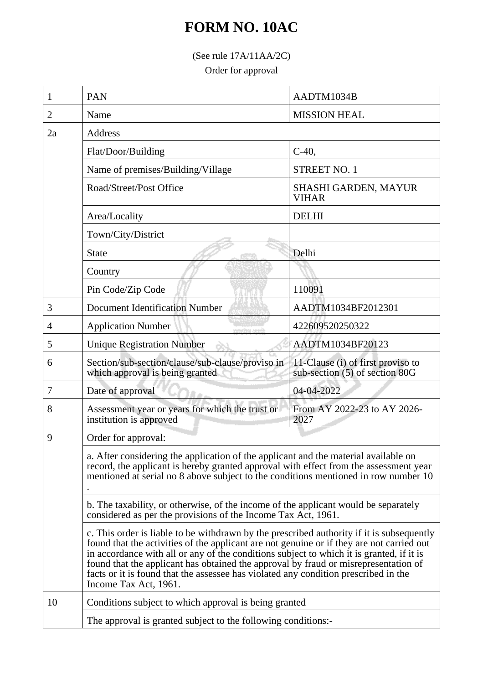## **FORM NO. 10AC**

(See rule 17A/11AA/2C)

Order for approval

| 1  | <b>PAN</b>                                                                                                                                                                                                                                                                                                                                                                                                                                                                                | AADTM1034B                                                          |  |
|----|-------------------------------------------------------------------------------------------------------------------------------------------------------------------------------------------------------------------------------------------------------------------------------------------------------------------------------------------------------------------------------------------------------------------------------------------------------------------------------------------|---------------------------------------------------------------------|--|
| 2  | Name                                                                                                                                                                                                                                                                                                                                                                                                                                                                                      | <b>MISSION HEAL</b>                                                 |  |
| 2a | Address                                                                                                                                                                                                                                                                                                                                                                                                                                                                                   |                                                                     |  |
|    | Flat/Door/Building                                                                                                                                                                                                                                                                                                                                                                                                                                                                        | $C-40$ ,                                                            |  |
|    | Name of premises/Building/Village                                                                                                                                                                                                                                                                                                                                                                                                                                                         | <b>STREET NO. 1</b>                                                 |  |
|    | Road/Street/Post Office                                                                                                                                                                                                                                                                                                                                                                                                                                                                   | <b>SHASHI GARDEN, MAYUR</b><br><b>VIHAR</b>                         |  |
|    | Area/Locality                                                                                                                                                                                                                                                                                                                                                                                                                                                                             | <b>DELHI</b>                                                        |  |
|    | Town/City/District                                                                                                                                                                                                                                                                                                                                                                                                                                                                        |                                                                     |  |
|    | <b>State</b>                                                                                                                                                                                                                                                                                                                                                                                                                                                                              | Delhi                                                               |  |
|    | Country                                                                                                                                                                                                                                                                                                                                                                                                                                                                                   |                                                                     |  |
|    | Pin Code/Zip Code                                                                                                                                                                                                                                                                                                                                                                                                                                                                         | 110091                                                              |  |
| 3  | <b>Document Identification Number</b>                                                                                                                                                                                                                                                                                                                                                                                                                                                     | AADTM1034BF2012301                                                  |  |
| 4  | <b>Application Number</b><br>ничейны эш                                                                                                                                                                                                                                                                                                                                                                                                                                                   | 422609520250322                                                     |  |
| 5  | <b>Unique Registration Number</b>                                                                                                                                                                                                                                                                                                                                                                                                                                                         | AADTM1034BF20123                                                    |  |
| 6  | Section/sub-section/clause/sub-clause/proviso in<br>which approval is being granted                                                                                                                                                                                                                                                                                                                                                                                                       | 11-Clause (i) of first proviso to<br>sub-section (5) of section 80G |  |
| 7  | Date of approval                                                                                                                                                                                                                                                                                                                                                                                                                                                                          | 04-04-2022                                                          |  |
| 8  | Assessment year or years for which the trust or<br>institution is approved                                                                                                                                                                                                                                                                                                                                                                                                                | From AY 2022-23 to AY 2026-<br>2027                                 |  |
| 9  | Order for approval:                                                                                                                                                                                                                                                                                                                                                                                                                                                                       |                                                                     |  |
|    | a. After considering the application of the applicant and the material available on<br>record, the applicant is hereby granted approval with effect from the assessment year<br>mentioned at serial no 8 above subject to the conditions mentioned in row number 10                                                                                                                                                                                                                       |                                                                     |  |
|    | b. The taxability, or otherwise, of the income of the applicant would be separately<br>considered as per the provisions of the Income Tax Act, 1961.                                                                                                                                                                                                                                                                                                                                      |                                                                     |  |
|    | c. This order is liable to be withdrawn by the prescribed authority if it is subsequently<br>found that the activities of the applicant are not genuine or if they are not carried out<br>in accordance with all or any of the conditions subject to which it is granted, if it is<br>found that the applicant has obtained the approval by fraud or misrepresentation of<br>facts or it is found that the assessee has violated any condition prescribed in the<br>Income Tax Act, 1961. |                                                                     |  |
| 10 | Conditions subject to which approval is being granted                                                                                                                                                                                                                                                                                                                                                                                                                                     |                                                                     |  |
|    | The approval is granted subject to the following conditions:-                                                                                                                                                                                                                                                                                                                                                                                                                             |                                                                     |  |